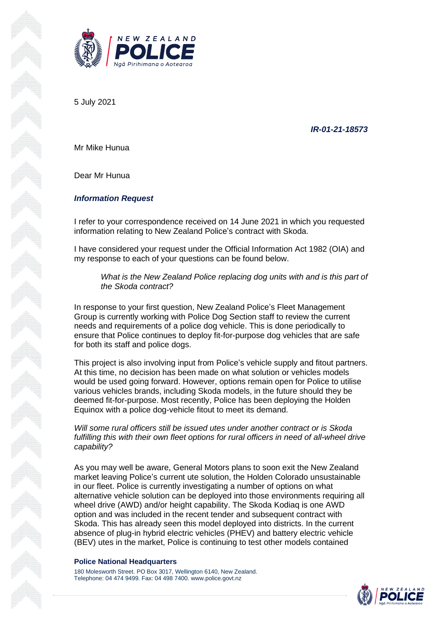5 July 2021

*IR-01-21-18573*

Mr Mike Hunua

Dear Mr Hunua

## *Information Request*

I refer to your correspondence received on 14 June 2021 in which you requested information relating to New Zealand Police's contract with Skoda.

I have considered your request under the Official Information Act 1982 (OIA) and my response to each of your questions can be found below.

*What is the New Zealand Police replacing dog units with and is this part of the Skoda contract?*

In response to your first question, New Zealand Police's Fleet Management Group is currently working with Police Dog Section staff to review the current needs and requirements of a police dog vehicle. This is done periodically to ensure that Police continues to deploy fit-for-purpose dog vehicles that are safe for both its staff and police dogs.

This project is also involving input from Police's vehicle supply and fitout partners. At this time, no decision has been made on what solution or vehicles models would be used going forward. However, options remain open for Police to utilise various vehicles brands, including Skoda models, in the future should they be deemed fit-for-purpose. Most recently, Police has been deploying the Holden Equinox with a police dog-vehicle fitout to meet its demand.

*Will some rural officers still be issued utes under another contract or is Skoda fulfilling this with their own fleet options for rural officers in need of all-wheel drive capability?*

As you may well be aware, General Motors plans to soon exit the New Zealand market leaving Police's current ute solution, the Holden Colorado unsustainable in our fleet. Police is currently investigating a number of options on what alternative vehicle solution can be deployed into those environments requiring all wheel drive (AWD) and/or height capability. The Skoda Kodiaq is one AWD option and was included in the recent tender and subsequent contract with Skoda. This has already seen this model deployed into districts. In the current absence of plug-in hybrid electric vehicles (PHEV) and battery electric vehicle (BEV) utes in the market, Police is continuing to test other models contained

## **Police National Headquarters**

180 Molesworth Street. PO Box 3017, Wellington 6140, New Zealand. Telephone: 04 474 9499. Fax: 04 498 7400. www.police.govt.nz